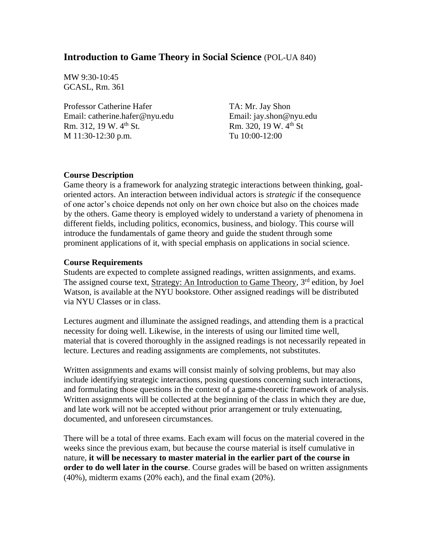## **Introduction to Game Theory in Social Science** (POL-UA 840)

MW 9:30-10:45 GCASL, Rm. 361

Professor Catherine Hafer Email: catherine.hafer@nyu.edu Rm. 312, 19 W. 4<sup>th</sup> St. M 11:30-12:30 p.m.

TA: Mr. Jay Shon Email: jay.shon@nyu.edu Rm. 320, 19 W. 4th St Tu 10:00-12:00

### **Course Description**

Game theory is a framework for analyzing strategic interactions between thinking, goaloriented actors. An interaction between individual actors is *strategic* if the consequence of one actor's choice depends not only on her own choice but also on the choices made by the others. Game theory is employed widely to understand a variety of phenomena in different fields, including politics, economics, business, and biology. This course will introduce the fundamentals of game theory and guide the student through some prominent applications of it, with special emphasis on applications in social science.

### **Course Requirements**

Students are expected to complete assigned readings, written assignments, and exams. The assigned course text, Strategy: An Introduction to Game Theory, 3<sup>rd</sup> edition, by Joel Watson, is available at the NYU bookstore. Other assigned readings will be distributed via NYU Classes or in class.

Lectures augment and illuminate the assigned readings, and attending them is a practical necessity for doing well. Likewise, in the interests of using our limited time well, material that is covered thoroughly in the assigned readings is not necessarily repeated in lecture. Lectures and reading assignments are complements, not substitutes.

Written assignments and exams will consist mainly of solving problems, but may also include identifying strategic interactions, posing questions concerning such interactions, and formulating those questions in the context of a game-theoretic framework of analysis. Written assignments will be collected at the beginning of the class in which they are due, and late work will not be accepted without prior arrangement or truly extenuating, documented, and unforeseen circumstances.

There will be a total of three exams. Each exam will focus on the material covered in the weeks since the previous exam, but because the course material is itself cumulative in nature, **it will be necessary to master material in the earlier part of the course in order to do well later in the course**. Course grades will be based on written assignments (40%), midterm exams (20% each), and the final exam (20%).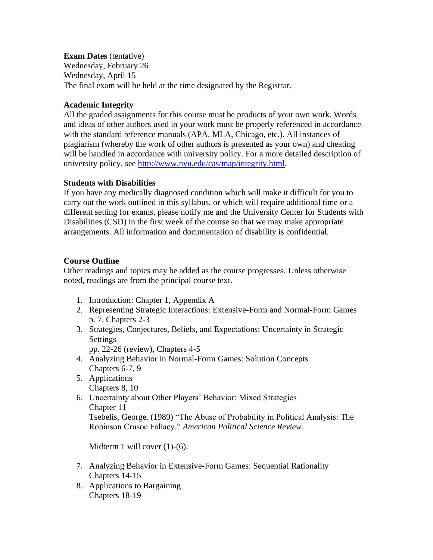**Exam Dates** (tentative)

Wednesday, February 26 Wednesday, April 15 The final exam will be held at the time designated by the Registrar.

# **Academic Integrity**

All the graded assignments for this course must be products of your own work. Words and ideas of other authors used in your work must be properly referenced in accordance with the standard reference manuals (APA, MLA, Chicago, etc.). All instances of plagiarism (whereby the work of other authors is presented as your own) and cheating will be handled in accordance with university policy. For a more detailed description of university policy, see [http://www.nyu.edu/cas/map/integrity.html.](http://www.nyu.edu/cas/map/integrity.html)

## **Students with Disabilities**

If you have any medically diagnosed condition which will make it difficult for you to carry out the work outlined in this syllabus, or which will require additional time or a different setting for exams, please notify me and the University Center for Students with Disabilities (CSD) in the first week of the course so that we may make appropriate arrangements. All information and documentation of disability is confidential.

## **Course Outline**

Other readings and topics may be added as the course progresses. Unless otherwise noted, readings are from the principal course text.

- 1. Introduction: Chapter 1, Appendix A
- 2. Representing Strategic Interactions: Extensive-Form and Normal-Form Games p. 7, Chapters 2-3
- 3. Strategies, Conjectures, Beliefs, and Expectations: Uncertainty in Strategic Settings

pp. 22-26 (review), Chapters 4-5

- 4. Analyzing Behavior in Normal-Form Games: Solution Concepts Chapters 6-7, 9
- 5. Applications
	- Chapters 8, 10
- 6. Uncertainty about Other Players' Behavior: Mixed Strategies Chapter 11

Tsebelis, George. (1989) "The Abuse of Probability in Political Analysis: The Robinson Crusoe Fallacy." *American Political Science Review.*

Midterm 1 will cover  $(1)-(6)$ .

- 7. Analyzing Behavior in Extensive-Form Games: Sequential Rationality Chapters 14-15
- 8. Applications to Bargaining Chapters 18-19